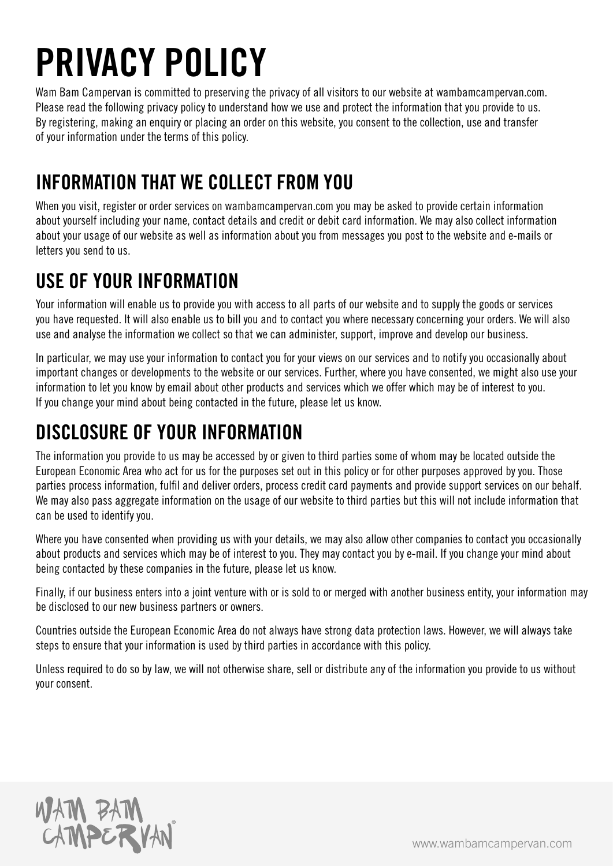# PRIVACY POLICY

Wam Bam Campervan is committed to preserving the privacy of all visitors to our website at wambamcampervan.com. Please read the following privacy policy to understand how we use and protect the information that you provide to us. By registering, making an enquiry or placing an order on this website, you consent to the collection, use and transfer of your information under the terms of this policy.

## INFORMATION THAT WE COLLECT FROM YOU

When you visit, register or order services on wambamcampervan.com you may be asked to provide certain information about yourself including your name, contact details and credit or debit card information. We may also collect information about your usage of our website as well as information about you from messages you post to the website and e-mails or letters you send to us.

## USE OF YOUR INFORMATION

Your information will enable us to provide you with access to all parts of our website and to supply the goods or services you have requested. It will also enable us to bill you and to contact you where necessary concerning your orders. We will also use and analyse the information we collect so that we can administer, support, improve and develop our business.

In particular, we may use your information to contact you for your views on our services and to notify you occasionally about important changes or developments to the website or our services. Further, where you have consented, we might also use your information to let you know by email about other products and services which we offer which may be of interest to you. If you change your mind about being contacted in the future, please let us know.

### DISCLOSURE OF YOUR INFORMATION

The information you provide to us may be accessed by or given to third parties some of whom may be located outside the European Economic Area who act for us for the purposes set out in this policy or for other purposes approved by you. Those parties process information, fulfil and deliver orders, process credit card payments and provide support services on our behalf. We may also pass aggregate information on the usage of our website to third parties but this will not include information that can be used to identify you.

Where you have consented when providing us with your details, we may also allow other companies to contact you occasionally about products and services which may be of interest to you. They may contact you by e-mail. If you change your mind about being contacted by these companies in the future, please let us know.

Finally, if our business enters into a joint venture with or is sold to or merged with another business entity, your information may be disclosed to our new business partners or owners.

Countries outside the European Economic Area do not always have strong data protection laws. However, we will always take steps to ensure that your information is used by third parties in accordance with this policy.

Unless required to do so by law, we will not otherwise share, sell or distribute any of the information you provide to us without your consent.